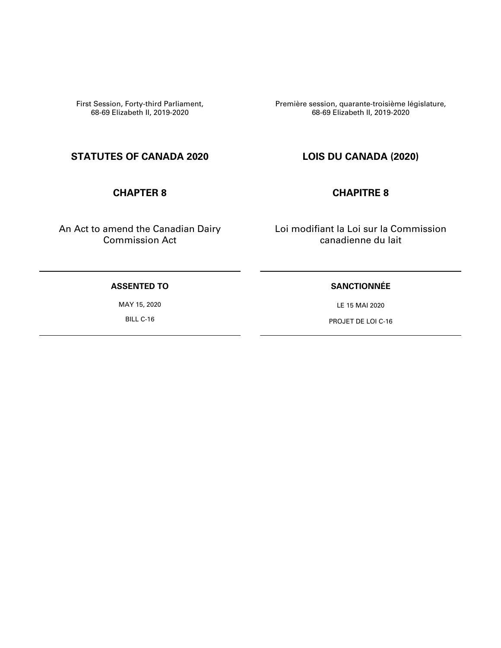First Session, Forty-third Parliament, 68-69 Elizabeth II, 2019-2020

**STATUTES OF CANADA 2020 LOIS DU CANADA (2020)**

An Act to amend the Canadian Dairy Commission Act

Première session, quarante-troisième législature, 68-69 Elizabeth II, 2019-2020

### **CHAPTER 8 CHAPITRE 8**

Loi modifiant la Loi sur la Commission canadienne du lait

### **ASSENTED TO**

MAY 15, 2020

BILL C-16

### **SANCTIONNÉE**

LE 15 MAI 2020

PROJET DE LOI C-16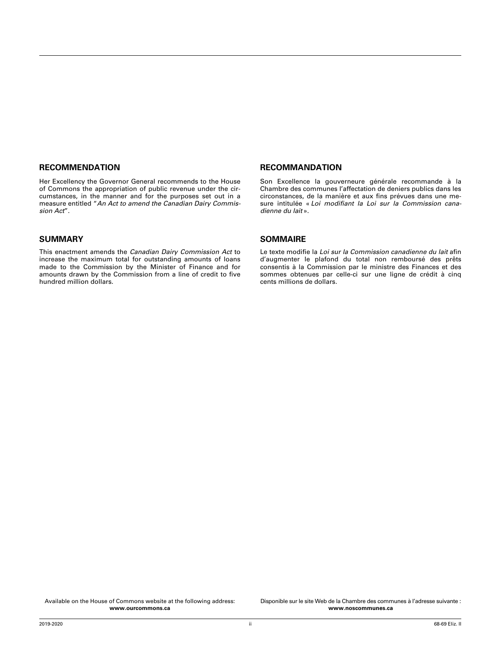#### **RECOMMENDATION**

Her Excellency the Governor General recommends to the House of Commons the appropriation of public revenue under the circumstances, in the manner and for the purposes set out in a measure entitled "*An Act to amend the Canadian Dairy Commission Act*".

#### **SUMMARY**

This enactment amends the *Canadian Dairy Commission Act* to increase the maximum total for outstanding amounts of loans made to the Commission by the Minister of Finance and for amounts drawn by the Commission from a line of credit to five hundred million dollars.

#### **RECOMMANDATION**

Son Excellence la gouverneure générale recommande à la Chambre des communes l'affectation de deniers publics dans les circonstances, de la manière et aux fins prévues dans une mesure intitulée « *Loi modifiant la Loi sur la Commission canadienne du lait* ».

#### **SOMMAIRE**

Le texte modifie la *Loi sur la Commission canadienne du lait* afin d'augmenter le plafond du total non remboursé des prêts consentis à la Commission par le ministre des Finances et des sommes obtenues par celle-ci sur une ligne de crédit à cinq cents millions de dollars.

Disponible sur le site Web de la Chambre des communes à l'adresse suivante : **www.noscommunes.ca**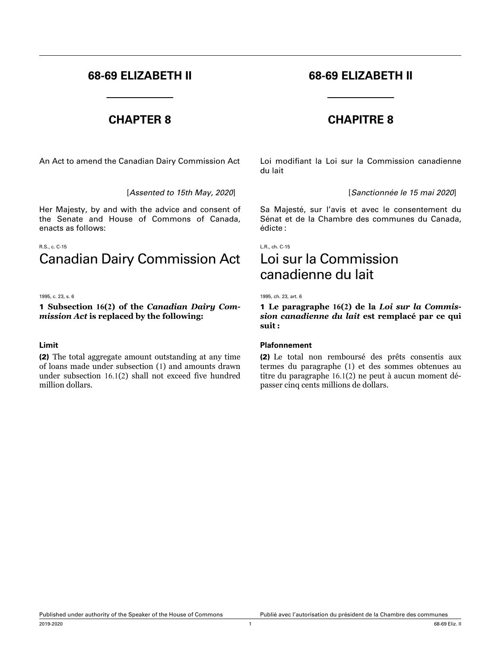# **68-69 ELIZABETH II 68-69 ELIZABETH II**

An Act to amend the Canadian Dairy Commission Act Loi modifiant la Loi sur la Commission canadienne

Her Majesty, by and with the advice and consent of the Senate and House of Commons of Canada, enacts as follows:

#### R.S., c. C-15

# Canadian Dairy Commission Act

#### 1995, c. 23, s. 6

#### 1 **Subsection 16(2) of the** *Canadian Dairy Commission Act* **is replaced by the following:**

#### **Limit**

(2) The total aggregate amount outstanding at any time of loans made under subsection (1) and amounts drawn under subsection 16.1(2) shall not exceed five hundred million dollars.

## **CHAPTER 8 CHAPITRE 8**

du lait

[*Assented to 15th May, 2020*] [*Sanctionnée le 15 mai 2020*]

Sa Majesté, sur l'avis et avec le consentement du Sénat et de la Chambre des communes du Canada, édicte :

L.R., ch. C-15

# Loi sur la Commission canadienne du lait

1995, ch. 23, art. 6

1 **Le paragraphe 16(2) de la** *Loi sur la Commission canadienne du lait* **est remplacé par ce qui suit :**

#### **Plafonnement**

(2) Le total non remboursé des prêts consentis aux termes du paragraphe (1) et des sommes obtenues au titre du paragraphe 16.1(2) ne peut à aucun moment dépasser cinq cents millions de dollars.